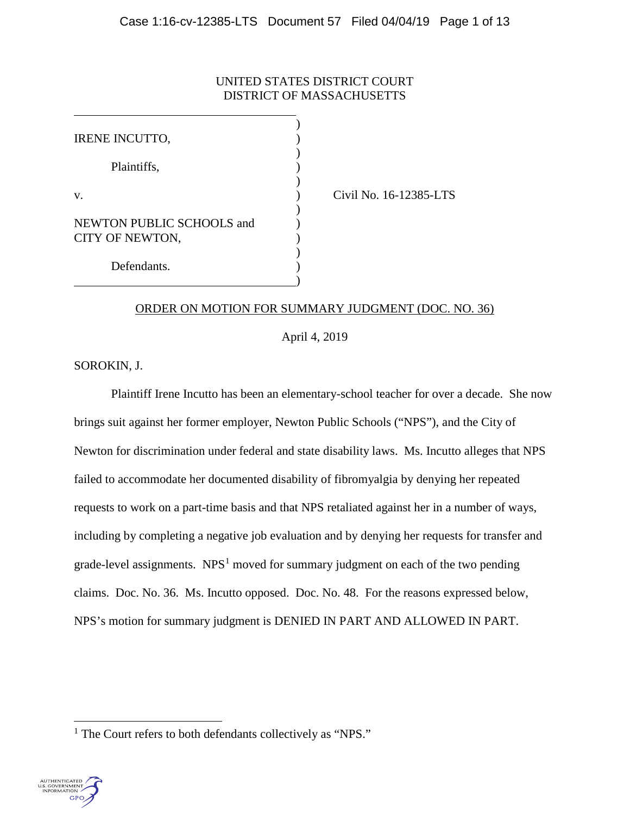# UNITED STATES DISTRICT COURT DISTRICT OF MASSACHUSETTS

| <b>IRENE INCUTTO,</b>                        |  |
|----------------------------------------------|--|
| Plaintiffs,                                  |  |
| $V_{\cdot}$                                  |  |
| NEWTON PUBLIC SCHOOLS and<br>CITY OF NEWTON, |  |
| Defendants.                                  |  |

Civil No. 16-12385-LTS

## ORDER ON MOTION FOR SUMMARY JUDGMENT [\(DOC. NO. 36\)](https://ecf.mad.uscourts.gov/doc1/09519006129)

April 4, 2019

SOROKIN, J.

Plaintiff Irene Incutto has been an elementary-school teacher for over a decade. She now brings suit against her former employer, Newton Public Schools ("NPS"), and the City of Newton for discrimination under federal and state disability laws. Ms. Incutto alleges that NPS failed to accommodate her documented disability of fibromyalgia by denying her repeated requests to work on a part-time basis and that NPS retaliated against her in a number of ways, including by completing a negative job evaluation and by denying her requests for transfer and grade-level assignments.  $NPS<sup>1</sup>$  $NPS<sup>1</sup>$  $NPS<sup>1</sup>$  moved for summary judgment on each of the two pending claims. [Doc. No. 36.](https://ecf.mad.uscourts.gov/doc1/09519006129) Ms. Incutto opposed. [Doc. No. 48.](https://ecf.mad.uscourts.gov/doc1/09519079296) For the reasons expressed below, NPS's motion for summary judgment is DENIED IN PART AND ALLOWED IN PART.

<span id="page-0-0"></span><sup>&</sup>lt;sup>1</sup> The Court refers to both defendants collectively as "NPS."

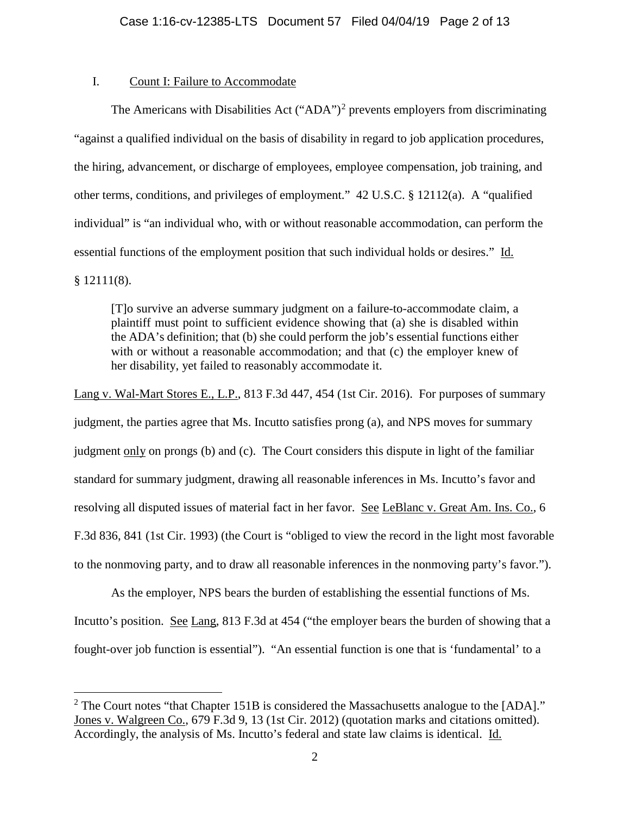## I. Count I: Failure to Accommodate

The Americans with Disabilities Act ("ADA")<sup>[2](#page-1-0)</sup> prevents employers from discriminating "against a qualified individual on the basis of disability in regard to job application procedures, the hiring, advancement, or discharge of employees, employee compensation, job training, and other terms, conditions, and privileges of employment." 42 U.S.C. § 12112(a). A "qualified individual" is "an individual who, with or without reasonable accommodation, can perform the essential functions of the employment position that such individual holds or desires." Id.  $§ 12111(8).$ 

[T]o survive an adverse summary judgment on a failure-to-accommodate claim, a plaintiff must point to sufficient evidence showing that (a) she is disabled within the ADA's definition; that (b) she could perform the job's essential functions either with or without a reasonable accommodation; and that (c) the employer knew of her disability, yet failed to reasonably accommodate it.

Lang v. Wal-Mart Stores E., L.P., 813 F.3d 447, 454 (1st Cir. 2016). For purposes of summary judgment, the parties agree that Ms. Incutto satisfies prong (a), and NPS moves for summary judgment only on prongs (b) and (c). The Court considers this dispute in light of the familiar standard for summary judgment, drawing all reasonable inferences in Ms. Incutto's favor and resolving all disputed issues of material fact in her favor. See LeBlanc v. Great Am. Ins. Co., 6 F.3d 836, 841 (1st Cir. 1993) (the Court is "obliged to view the record in the light most favorable to the nonmoving party, and to draw all reasonable inferences in the nonmoving party's favor.").

As the employer, NPS bears the burden of establishing the essential functions of Ms. Incutto's position. See Lang, 813 F.3d at 454 ("the employer bears the burden of showing that a fought-over job function is essential"). "An essential function is one that is 'fundamental' to a

<span id="page-1-0"></span><sup>&</sup>lt;sup>2</sup> The Court notes "that Chapter 151B is considered the Massachusetts analogue to the [ADA]." Jones v. Walgreen Co., 679 F.3d 9, 13 (1st Cir. 2012) (quotation marks and citations omitted). Accordingly, the analysis of Ms. Incutto's federal and state law claims is identical. Id.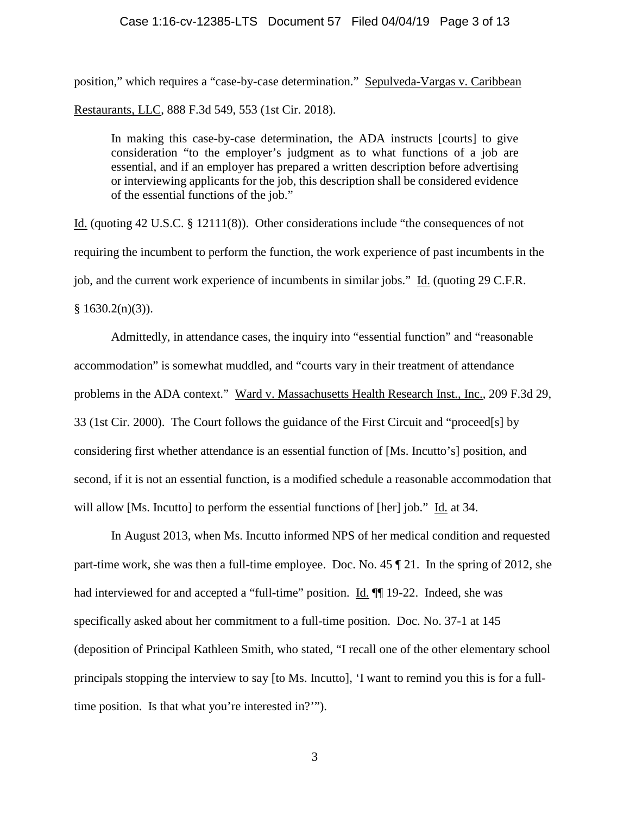#### Case 1:16-cv-12385-LTS Document 57 Filed 04/04/19 Page 3 of 13

position," which requires a "case-by-case determination." Sepulveda-Vargas v. Caribbean Restaurants, LLC, 888 F.3d 549, 553 (1st Cir. 2018).

In making this case-by-case determination, the ADA instructs [courts] to give consideration "to the employer's judgment as to what functions of a job are essential, and if an employer has prepared a written description before advertising or interviewing applicants for the job, this description shall be considered evidence of the essential functions of the job."

Id. (quoting 42 U.S.C. § 12111(8)). Other considerations include "the consequences of not requiring the incumbent to perform the function, the work experience of past incumbents in the job, and the current work experience of incumbents in similar jobs." Id. (quoting 29 C.F.R.  $§ 1630.2(n)(3)$ .

Admittedly, in attendance cases, the inquiry into "essential function" and "reasonable accommodation" is somewhat muddled, and "courts vary in their treatment of attendance problems in the ADA context." Ward v. Massachusetts Health Research Inst., Inc., 209 F.3d 29, 33 (1st Cir. 2000). The Court follows the guidance of the First Circuit and "proceed[s] by considering first whether attendance is an essential function of [Ms. Incutto's] position, and second, if it is not an essential function, is a modified schedule a reasonable accommodation that will allow [Ms. Incutto] to perform the essential functions of [her] job." Id. at 34.

In August 2013, when Ms. Incutto informed NPS of her medical condition and requested part-time work, she was then a full-time employee. [Doc. No. 45](https://ecf.mad.uscourts.gov/doc1/09519076023) ¶ 21. In the spring of 2012, she had interviewed for and accepted a "full-time" position. Id. ¶[ 19-22. Indeed, she was specifically asked about her commitment to a full-time position. Doc. No. 37-1 at 145 (deposition of Principal Kathleen Smith, who stated, "I recall one of the other elementary school principals stopping the interview to say [to Ms. Incutto], 'I want to remind you this is for a fulltime position. Is that what you're interested in?'").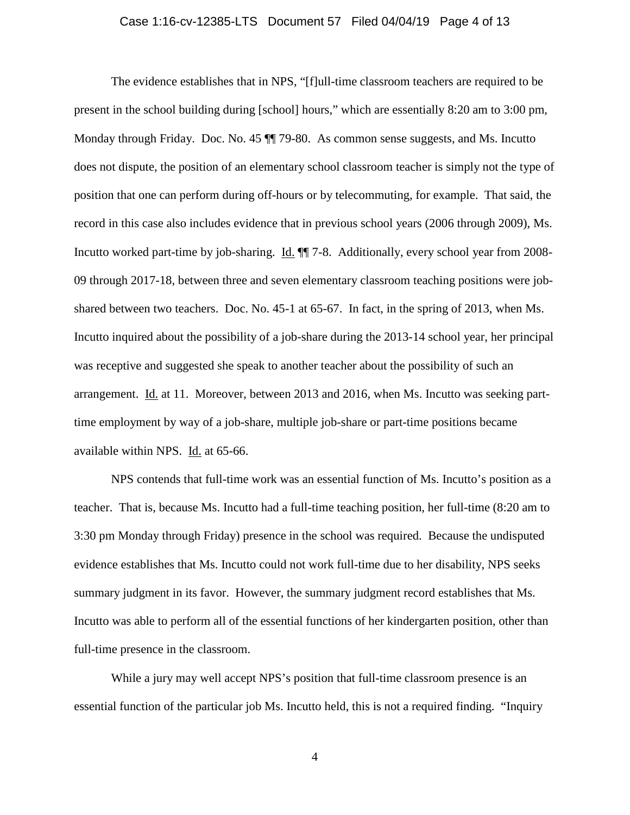#### Case 1:16-cv-12385-LTS Document 57 Filed 04/04/19 Page 4 of 13

The evidence establishes that in NPS, "[f]ull-time classroom teachers are required to be present in the school building during [school] hours," which are essentially 8:20 am to 3:00 pm, Monday through Friday. [Doc. No. 45](https://ecf.mad.uscourts.gov/doc1/09519076023) ¶¶ 79-80. As common sense suggests, and Ms. Incutto does not dispute, the position of an elementary school classroom teacher is simply not the type of position that one can perform during off-hours or by telecommuting, for example. That said, the record in this case also includes evidence that in previous school years (2006 through 2009), Ms. Incutto worked part-time by job-sharing. Id. ¶¶ 7-8. Additionally, every school year from 2008- 09 through 2017-18, between three and seven elementary classroom teaching positions were jobshared between two teachers. [Doc. No. 45-](https://ecf.mad.uscourts.gov/doc1/09519076023)1 at 65-67. In fact, in the spring of 2013, when Ms. Incutto inquired about the possibility of a job-share during the 2013-14 school year, her principal was receptive and suggested she speak to another teacher about the possibility of such an arrangement. Id. at 11. Moreover, between 2013 and 2016, when Ms. Incutto was seeking parttime employment by way of a job-share, multiple job-share or part-time positions became available within NPS. Id. at 65-66.

NPS contends that full-time work was an essential function of Ms. Incutto's position as a teacher. That is, because Ms. Incutto had a full-time teaching position, her full-time (8:20 am to 3:30 pm Monday through Friday) presence in the school was required. Because the undisputed evidence establishes that Ms. Incutto could not work full-time due to her disability, NPS seeks summary judgment in its favor. However, the summary judgment record establishes that Ms. Incutto was able to perform all of the essential functions of her kindergarten position, other than full-time presence in the classroom.

While a jury may well accept NPS's position that full-time classroom presence is an essential function of the particular job Ms. Incutto held, this is not a required finding. "Inquiry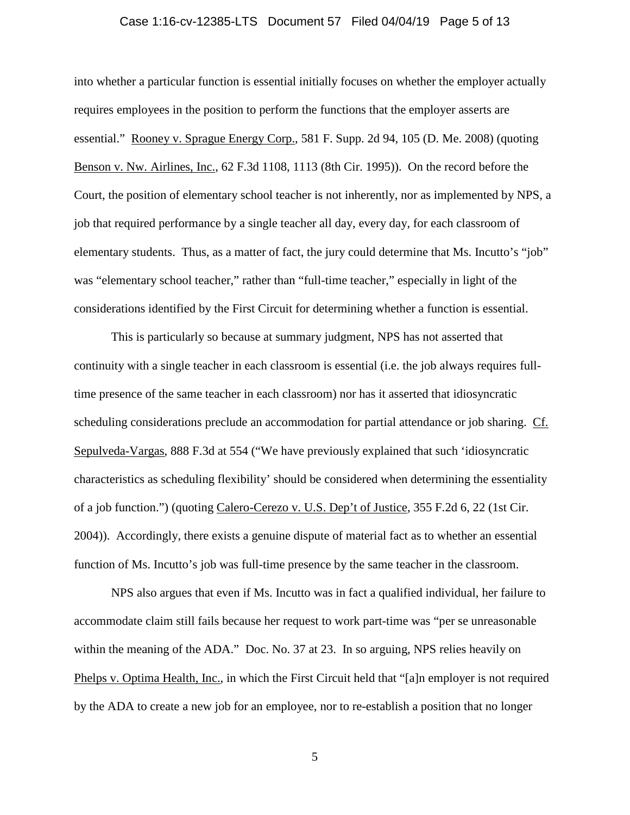#### Case 1:16-cv-12385-LTS Document 57 Filed 04/04/19 Page 5 of 13

into whether a particular function is essential initially focuses on whether the employer actually requires employees in the position to perform the functions that the employer asserts are essential." Rooney v. Sprague Energy Corp., 581 F. Supp. 2d 94, 105 (D. Me. 2008) (quoting Benson v. Nw. Airlines, Inc., 62 F.3d 1108, 1113 (8th Cir. 1995)). On the record before the Court, the position of elementary school teacher is not inherently, nor as implemented by NPS, a job that required performance by a single teacher all day, every day, for each classroom of elementary students. Thus, as a matter of fact, the jury could determine that Ms. Incutto's "job" was "elementary school teacher," rather than "full-time teacher," especially in light of the considerations identified by the First Circuit for determining whether a function is essential.

This is particularly so because at summary judgment, NPS has not asserted that continuity with a single teacher in each classroom is essential (i.e. the job always requires fulltime presence of the same teacher in each classroom) nor has it asserted that idiosyncratic scheduling considerations preclude an accommodation for partial attendance or job sharing. Cf. Sepulveda-Vargas, 888 F.3d at 554 ("We have previously explained that such 'idiosyncratic characteristics as scheduling flexibility' should be considered when determining the essentiality of a job function.") (quoting Calero-Cerezo v. U.S. Dep't of Justice, 355 F.2d 6, 22 (1st Cir. 2004)). Accordingly, there exists a genuine dispute of material fact as to whether an essential function of Ms. Incutto's job was full-time presence by the same teacher in the classroom.

NPS also argues that even if Ms. Incutto was in fact a qualified individual, her failure to accommodate claim still fails because her request to work part-time was "per se unreasonable within the meaning of the ADA." [Doc. No. 37 at 23.](https://ecf.mad.uscourts.gov/doc1/09519006142?page=23) In so arguing, NPS relies heavily on Phelps v. Optima Health, Inc., in which the First Circuit held that "[a]n employer is not required by the ADA to create a new job for an employee, nor to re-establish a position that no longer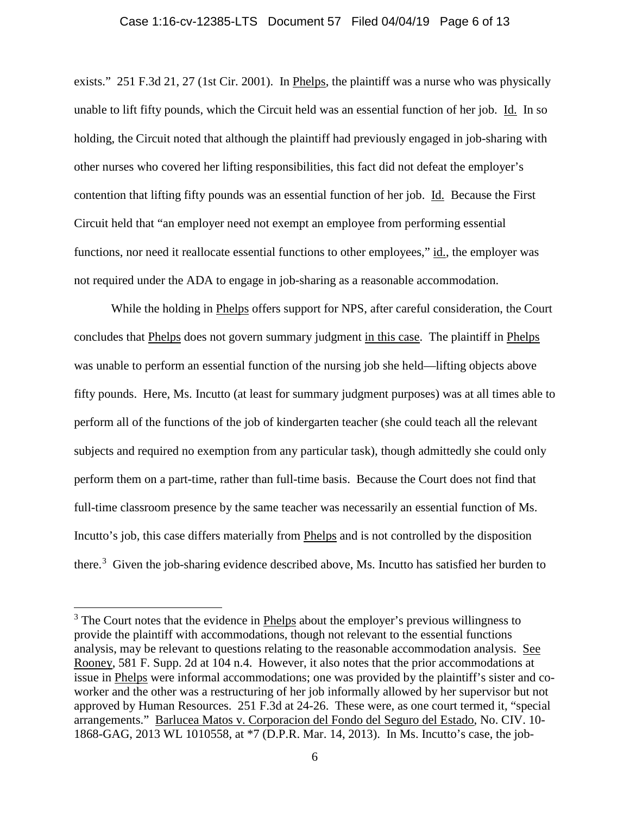#### Case 1:16-cv-12385-LTS Document 57 Filed 04/04/19 Page 6 of 13

exists." 251 F.3d 21, 27 (1st Cir. 2001). In Phelps, the plaintiff was a nurse who was physically unable to lift fifty pounds, which the Circuit held was an essential function of her job. Id. In so holding, the Circuit noted that although the plaintiff had previously engaged in job-sharing with other nurses who covered her lifting responsibilities, this fact did not defeat the employer's contention that lifting fifty pounds was an essential function of her job. Id. Because the First Circuit held that "an employer need not exempt an employee from performing essential functions, nor need it reallocate essential functions to other employees," id., the employer was not required under the ADA to engage in job-sharing as a reasonable accommodation.

While the holding in Phelps offers support for NPS, after careful consideration, the Court concludes that Phelps does not govern summary judgment in this case. The plaintiff in Phelps was unable to perform an essential function of the nursing job she held—lifting objects above fifty pounds. Here, Ms. Incutto (at least for summary judgment purposes) was at all times able to perform all of the functions of the job of kindergarten teacher (she could teach all the relevant subjects and required no exemption from any particular task), though admittedly she could only perform them on a part-time, rather than full-time basis. Because the Court does not find that full-time classroom presence by the same teacher was necessarily an essential function of Ms. Incutto's job, this case differs materially from Phelps and is not controlled by the disposition there.<sup>[3](#page-5-0)</sup> Given the job-sharing evidence described above, Ms. Incutto has satisfied her burden to

<span id="page-5-0"></span> $3$  The Court notes that the evidence in Phelps about the employer's previous willingness to provide the plaintiff with accommodations, though not relevant to the essential functions analysis, may be relevant to questions relating to the reasonable accommodation analysis. See Rooney, 581 F. Supp. 2d at 104 n.4. However, it also notes that the prior accommodations at issue in Phelps were informal accommodations; one was provided by the plaintiff's sister and coworker and the other was a restructuring of her job informally allowed by her supervisor but not approved by Human Resources. 251 F.3d at 24-26. These were, as one court termed it, "special arrangements." Barlucea Matos v. Corporacion del Fondo del Seguro del Estado, No. CIV. 10- 1868-GAG, 2013 WL 1010558, at \*7 (D.P.R. Mar. 14, 2013). In Ms. Incutto's case, the job-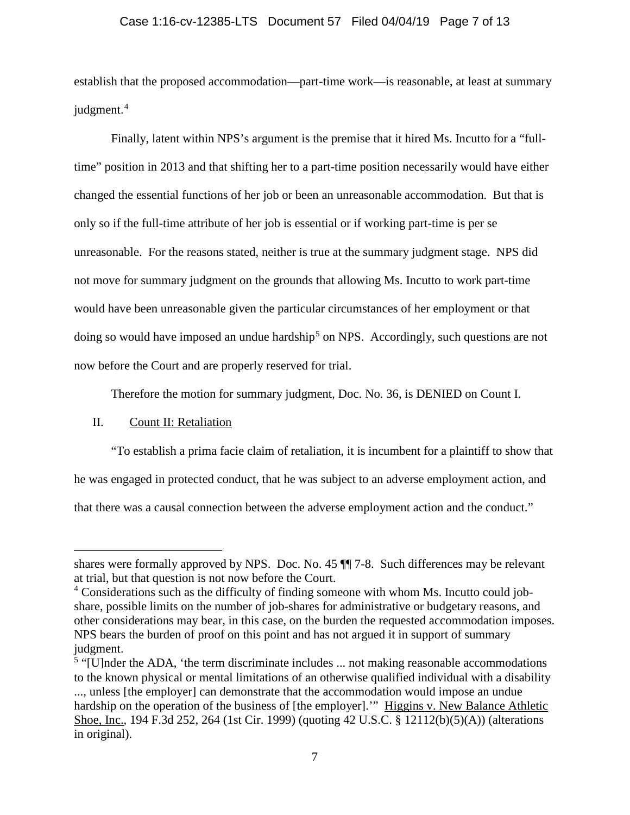### Case 1:16-cv-12385-LTS Document 57 Filed 04/04/19 Page 7 of 13

establish that the proposed accommodation—part-time work—is reasonable, at least at summary judgment.<sup>[4](#page-6-0)</sup>

Finally, latent within NPS's argument is the premise that it hired Ms. Incutto for a "fulltime" position in 2013 and that shifting her to a part-time position necessarily would have either changed the essential functions of her job or been an unreasonable accommodation. But that is only so if the full-time attribute of her job is essential or if working part-time is per se unreasonable. For the reasons stated, neither is true at the summary judgment stage. NPS did not move for summary judgment on the grounds that allowing Ms. Incutto to work part-time would have been unreasonable given the particular circumstances of her employment or that doing so would have imposed an undue hardship<sup>[5](#page-6-1)</sup> on NPS. Accordingly, such questions are not now before the Court and are properly reserved for trial.

Therefore the motion for summary judgment, [Doc. No. 36,](https://ecf.mad.uscourts.gov/doc1/09519006129) is DENIED on Count I.

### II. Count II: Retaliation

 $\overline{a}$ 

"To establish a prima facie claim of retaliation, it is incumbent for a plaintiff to show that he was engaged in protected conduct, that he was subject to an adverse employment action, and that there was a causal connection between the adverse employment action and the conduct."

shares were formally approved by NPS. [Doc. No. 45](https://ecf.mad.uscourts.gov/doc1/09519076023) ¶¶ 7-8. Such differences may be relevant at trial, but that question is not now before the Court.

<span id="page-6-0"></span><sup>&</sup>lt;sup>4</sup> Considerations such as the difficulty of finding someone with whom Ms. Incutto could jobshare, possible limits on the number of job-shares for administrative or budgetary reasons, and other considerations may bear, in this case, on the burden the requested accommodation imposes. NPS bears the burden of proof on this point and has not argued it in support of summary judgment.

<span id="page-6-1"></span> $\frac{5}{3}$  "[U]nder the ADA, 'the term discriminate includes ... not making reasonable accommodations to the known physical or mental limitations of an otherwise qualified individual with a disability ..., unless [the employer] can demonstrate that the accommodation would impose an undue hardship on the operation of the business of [the employer]."" Higgins v. New Balance Athletic Shoe, Inc., 194 F.3d 252, 264 (1st Cir. 1999) (quoting 42 U.S.C. § 12112(b)(5)(A)) (alterations in original).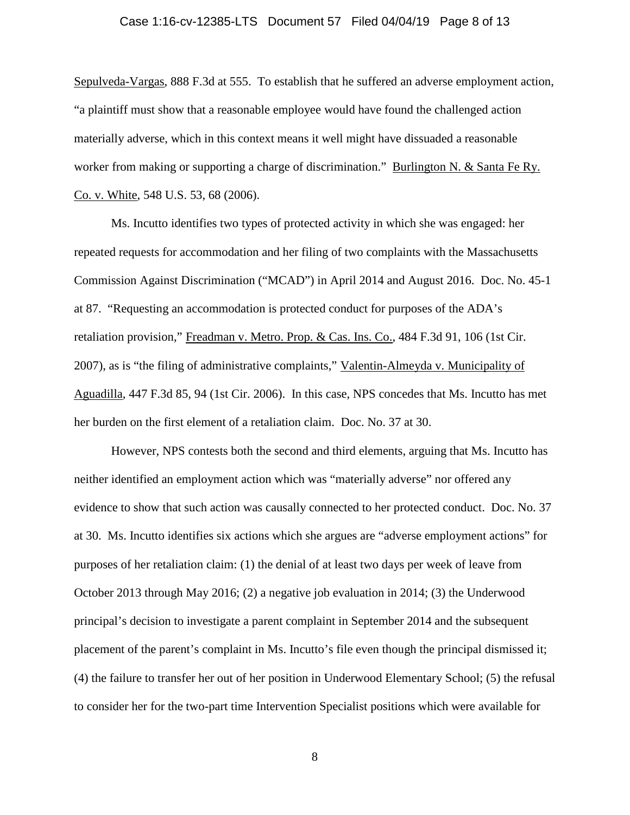#### Case 1:16-cv-12385-LTS Document 57 Filed 04/04/19 Page 8 of 13

Sepulveda-Vargas, 888 F.3d at 555. To establish that he suffered an adverse employment action, "a plaintiff must show that a reasonable employee would have found the challenged action materially adverse, which in this context means it well might have dissuaded a reasonable worker from making or supporting a charge of discrimination." Burlington N. & Santa Fe Ry. Co. v. White, 548 U.S. 53, 68 (2006).

Ms. Incutto identifies two types of protected activity in which she was engaged: her repeated requests for accommodation and her filing of two complaints with the Massachusetts Commission Against Discrimination ("MCAD") in April 2014 and August 2016. [Doc. No. 45-](https://ecf.mad.uscourts.gov/doc1/09519076023)1 at 87. "Requesting an accommodation is protected conduct for purposes of the ADA's retaliation provision," Freadman v. Metro. Prop. & Cas. Ins. Co., 484 F.3d 91, 106 (1st Cir. 2007), as is "the filing of administrative complaints," Valentin-Almeyda v. Municipality of Aguadilla, 447 F.3d 85, 94 (1st Cir. 2006). In this case, NPS concedes that Ms. Incutto has met her burden on the first element of a retaliation claim. [Doc. No. 37 at 30.](https://ecf.mad.uscourts.gov/doc1/09519006142?page=30)

However, NPS contests both the second and third elements, arguing that Ms. Incutto has neither identified an employment action which was "materially adverse" nor offered any evidence to show that such action was causally connected to her protected conduct. [Doc. No. 37](https://ecf.mad.uscourts.gov/doc1/09519006142?page=30)  [at 30.](https://ecf.mad.uscourts.gov/doc1/09519006142?page=30) Ms. Incutto identifies six actions which she argues are "adverse employment actions" for purposes of her retaliation claim: (1) the denial of at least two days per week of leave from October 2013 through May 2016; (2) a negative job evaluation in 2014; (3) the Underwood principal's decision to investigate a parent complaint in September 2014 and the subsequent placement of the parent's complaint in Ms. Incutto's file even though the principal dismissed it; (4) the failure to transfer her out of her position in Underwood Elementary School; (5) the refusal to consider her for the two-part time Intervention Specialist positions which were available for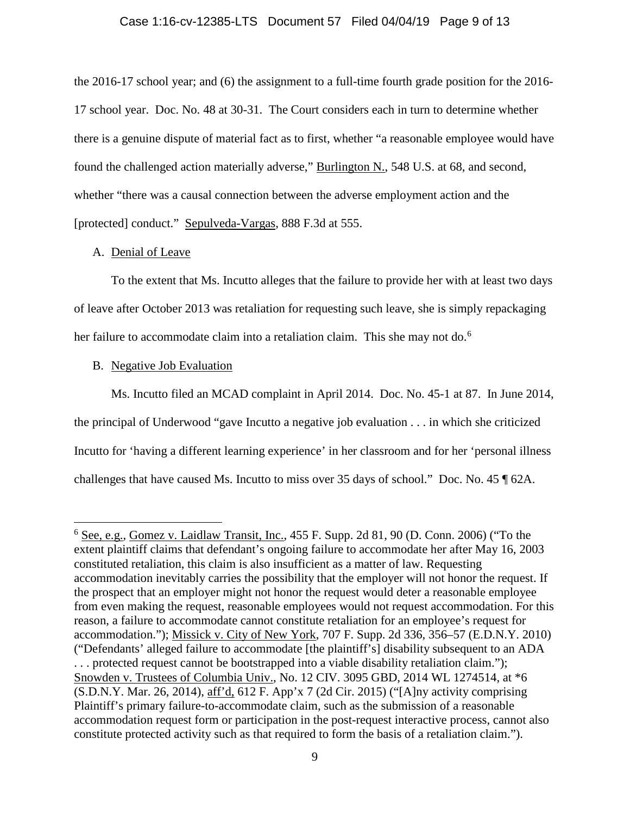### Case 1:16-cv-12385-LTS Document 57 Filed 04/04/19 Page 9 of 13

the 2016-17 school year; and (6) the assignment to a full-time fourth grade position for the 2016- 17 school year. [Doc. No. 48 at 30-31.](https://ecf.mad.uscourts.gov/doc1/09519079296?page=30) The Court considers each in turn to determine whether there is a genuine dispute of material fact as to first, whether "a reasonable employee would have found the challenged action materially adverse," Burlington N., 548 U.S. at 68, and second, whether "there was a causal connection between the adverse employment action and the [protected] conduct." Sepulveda-Vargas, 888 F.3d at 555.

### A. Denial of Leave

To the extent that Ms. Incutto alleges that the failure to provide her with at least two days of leave after October 2013 was retaliation for requesting such leave, she is simply repackaging her failure to accommodate claim into a retaliation claim. This she may not do.<sup>[6](#page-8-0)</sup>

#### B. Negative Job Evaluation

Ms. Incutto filed an MCAD complaint in April 2014. [Doc. No. 45-](https://ecf.mad.uscourts.gov/doc1/09519076023)1 at 87. In June 2014, the principal of Underwood "gave Incutto a negative job evaluation . . . in which she criticized Incutto for 'having a different learning experience' in her classroom and for her 'personal illness challenges that have caused Ms. Incutto to miss over 35 days of school." Doc. No. 45 ¶ 62A.

<span id="page-8-0"></span> <sup>6</sup> See, e.g., Gomez v. Laidlaw Transit, Inc., 455 F. Supp. 2d 81, 90 (D. Conn. 2006) ("To the extent plaintiff claims that defendant's ongoing failure to accommodate her after May 16, 2003 constituted retaliation, this claim is also insufficient as a matter of law. Requesting accommodation inevitably carries the possibility that the employer will not honor the request. If the prospect that an employer might not honor the request would deter a reasonable employee from even making the request, reasonable employees would not request accommodation. For this reason, a failure to accommodate cannot constitute retaliation for an employee's request for accommodation."); Missick v. City of New York, 707 F. Supp. 2d 336, 356–57 (E.D.N.Y. 2010) ("Defendants' alleged failure to accommodate [the plaintiff's] disability subsequent to an ADA . . . protected request cannot be bootstrapped into a viable disability retaliation claim."); Snowden v. Trustees of Columbia Univ., No. 12 CIV. 3095 GBD, 2014 WL 1274514, at \*6 (S.D.N.Y. Mar. 26, 2014), aff'd, 612 F. App'x 7 (2d Cir. 2015) ("[A]ny activity comprising Plaintiff's primary failure-to-accommodate claim, such as the submission of a reasonable accommodation request form or participation in the post-request interactive process, cannot also constitute protected activity such as that required to form the basis of a retaliation claim.").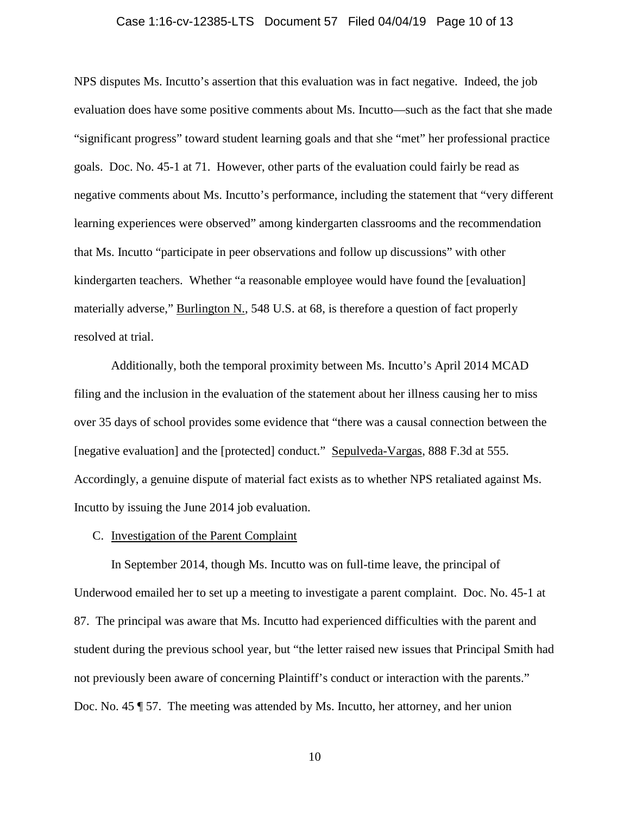#### Case 1:16-cv-12385-LTS Document 57 Filed 04/04/19 Page 10 of 13

NPS disputes Ms. Incutto's assertion that this evaluation was in fact negative. Indeed, the job evaluation does have some positive comments about Ms. Incutto—such as the fact that she made "significant progress" toward student learning goals and that she "met" her professional practice goals. Doc. No. 45-1 at 71. However, other parts of the evaluation could fairly be read as negative comments about Ms. Incutto's performance, including the statement that "very different learning experiences were observed" among kindergarten classrooms and the recommendation that Ms. Incutto "participate in peer observations and follow up discussions" with other kindergarten teachers. Whether "a reasonable employee would have found the [evaluation] materially adverse," Burlington N., 548 U.S. at 68, is therefore a question of fact properly resolved at trial.

Additionally, both the temporal proximity between Ms. Incutto's April 2014 MCAD filing and the inclusion in the evaluation of the statement about her illness causing her to miss over 35 days of school provides some evidence that "there was a causal connection between the [negative evaluation] and the [protected] conduct." Sepulveda-Vargas, 888 F.3d at 555. Accordingly, a genuine dispute of material fact exists as to whether NPS retaliated against Ms. Incutto by issuing the June 2014 job evaluation.

### C. Investigation of the Parent Complaint

In September 2014, though Ms. Incutto was on full-time leave, the principal of Underwood emailed her to set up a meeting to investigate a parent complaint. Doc. No. 45-1 at 87. The principal was aware that Ms. Incutto had experienced difficulties with the parent and student during the previous school year, but "the letter raised new issues that Principal Smith had not previously been aware of concerning Plaintiff's conduct or interaction with the parents." Doc. No. 45 ¶ 57. The meeting was attended by Ms. Incutto, her attorney, and her union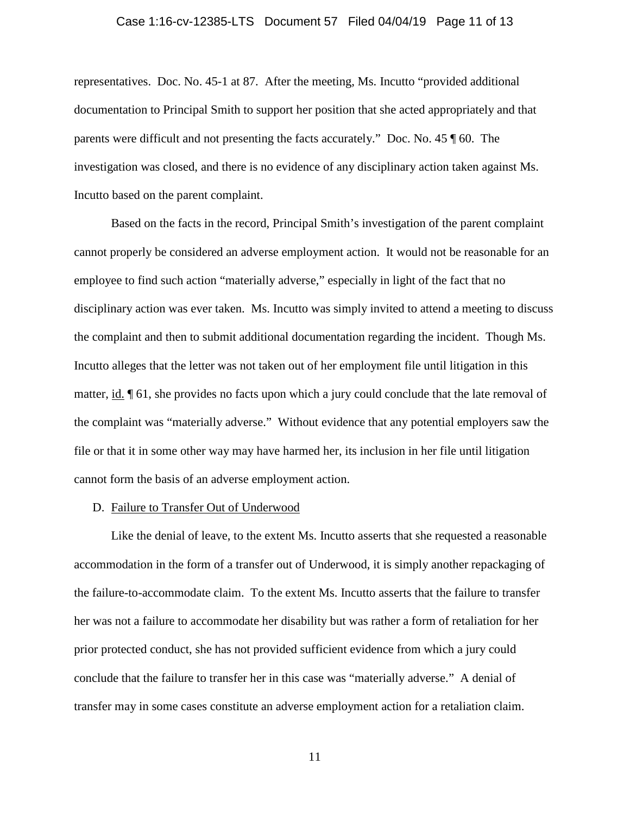#### Case 1:16-cv-12385-LTS Document 57 Filed 04/04/19 Page 11 of 13

representatives. Doc. No. 45-1 at 87. After the meeting, Ms. Incutto "provided additional documentation to Principal Smith to support her position that she acted appropriately and that parents were difficult and not presenting the facts accurately." Doc. No. 45 ¶ 60. The investigation was closed, and there is no evidence of any disciplinary action taken against Ms. Incutto based on the parent complaint.

Based on the facts in the record, Principal Smith's investigation of the parent complaint cannot properly be considered an adverse employment action. It would not be reasonable for an employee to find such action "materially adverse," especially in light of the fact that no disciplinary action was ever taken. Ms. Incutto was simply invited to attend a meeting to discuss the complaint and then to submit additional documentation regarding the incident. Though Ms. Incutto alleges that the letter was not taken out of her employment file until litigation in this matter, id. ¶ 61, she provides no facts upon which a jury could conclude that the late removal of the complaint was "materially adverse." Without evidence that any potential employers saw the file or that it in some other way may have harmed her, its inclusion in her file until litigation cannot form the basis of an adverse employment action.

#### D. Failure to Transfer Out of Underwood

Like the denial of leave, to the extent Ms. Incutto asserts that she requested a reasonable accommodation in the form of a transfer out of Underwood, it is simply another repackaging of the failure-to-accommodate claim. To the extent Ms. Incutto asserts that the failure to transfer her was not a failure to accommodate her disability but was rather a form of retaliation for her prior protected conduct, she has not provided sufficient evidence from which a jury could conclude that the failure to transfer her in this case was "materially adverse." A denial of transfer may in some cases constitute an adverse employment action for a retaliation claim.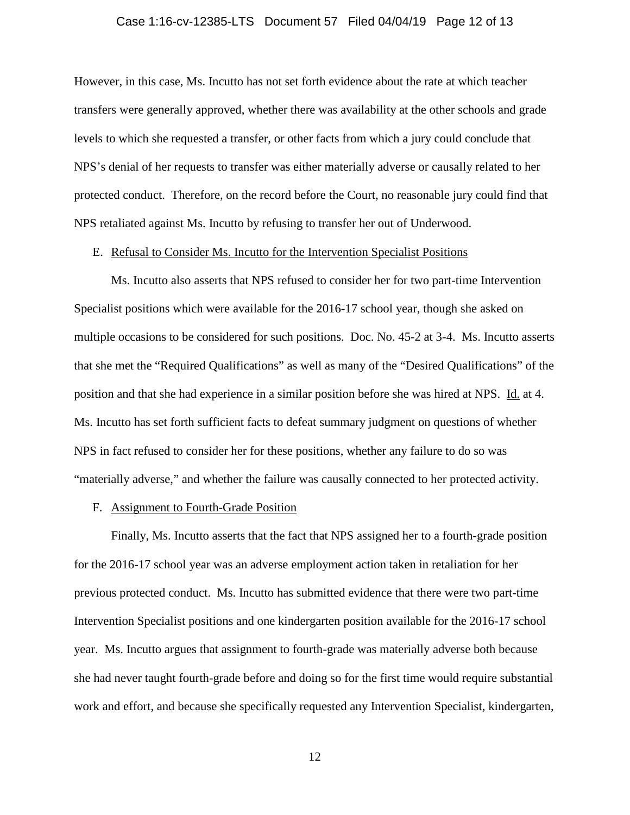#### Case 1:16-cv-12385-LTS Document 57 Filed 04/04/19 Page 12 of 13

However, in this case, Ms. Incutto has not set forth evidence about the rate at which teacher transfers were generally approved, whether there was availability at the other schools and grade levels to which she requested a transfer, or other facts from which a jury could conclude that NPS's denial of her requests to transfer was either materially adverse or causally related to her protected conduct. Therefore, on the record before the Court, no reasonable jury could find that NPS retaliated against Ms. Incutto by refusing to transfer her out of Underwood.

#### E. Refusal to Consider Ms. Incutto for the Intervention Specialist Positions

Ms. Incutto also asserts that NPS refused to consider her for two part-time Intervention Specialist positions which were available for the 2016-17 school year, though she asked on multiple occasions to be considered for such positions. [Doc. No. 45-2 at 3-4.](https://ecf.mad.uscourts.gov/doc1/09519076025?page=3) Ms. Incutto asserts that she met the "Required Qualifications" as well as many of the "Desired Qualifications" of the position and that she had experience in a similar position before she was hired at NPS. Id. at 4. Ms. Incutto has set forth sufficient facts to defeat summary judgment on questions of whether NPS in fact refused to consider her for these positions, whether any failure to do so was "materially adverse," and whether the failure was causally connected to her protected activity.

#### F. Assignment to Fourth-Grade Position

Finally, Ms. Incutto asserts that the fact that NPS assigned her to a fourth-grade position for the 2016-17 school year was an adverse employment action taken in retaliation for her previous protected conduct. Ms. Incutto has submitted evidence that there were two part-time Intervention Specialist positions and one kindergarten position available for the 2016-17 school year. Ms. Incutto argues that assignment to fourth-grade was materially adverse both because she had never taught fourth-grade before and doing so for the first time would require substantial work and effort, and because she specifically requested any Intervention Specialist, kindergarten,